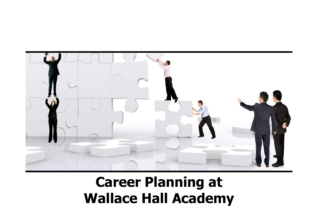

#### Career Planning atWallace Hall Academy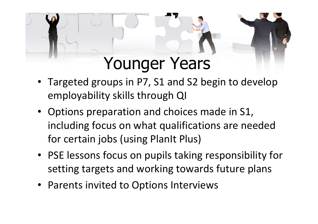### Younger Years

- Targeted groups in P7, S1 and S2 begin to develop employability skills through QI
- Options preparation and choices made in S1, including focus on what qualifications are needed for certain jobs (using PlanIt Plus)
- PSE lessons focus on pupils taking responsibility for setting targets and working towards future plans
- Parents invited to Options Interviews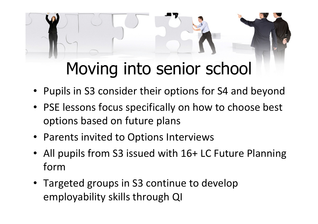# Moving into senior school

- •Pupils in S3 consider their options for S4 and beyond
- PSE lessons focus specifically on how to choose best options based on future plans
- Parents invited to Options Interviews
- • All pupils from S3 issued with 16+ LC Future Planning form
- Targeted groups in S3 continue to develop employability skills through QI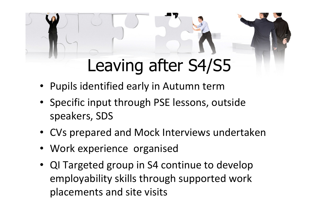# Leaving after S4/S5

- Pupils identified early in Autumn term
- Specific input through PSE lessons, outside speakers, SDS
- CVs prepared and Mock Interviews undertaken
- Work experience organised
- QI Targeted group in S4 continue to develop employability skills through supported work placements and site visits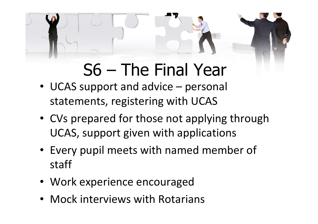# S6 – The Final Year

- UCAS support and advice personal statements, registering with UCAS
- CVs prepared for those not applying through UCAS, support given with applications
- Every pupil meets with named member of staff
- Work experience encouraged
- Mock interviews with Rotarians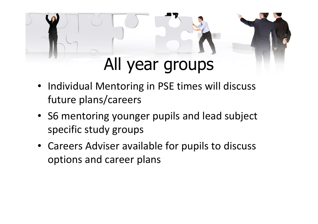## All year groups

- Individual Mentoring in PSE times will discuss future plans/careers
- S6 mentoring younger pupils and lead subject specific study groups
- Careers Adviser available for pupils to discuss options and career plans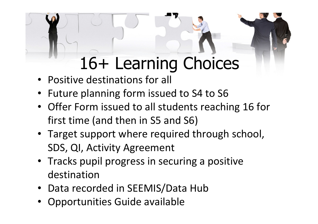# 16+ Learning Choices

- Positive destinations for all
- Future planning form issued to S4 to S6
- Offer Form issued to all students reaching 16 for first time (and then in S5 and S6)
- Target support where required through school, SDS, QI, Activity Agreement
- Tracks pupil progress in securing a positive destination
- Data recorded in SEEMIS/Data Hub
- Opportunities Guide available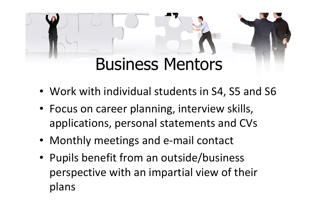## Business Mentors

- Work with individual students in S4, S5 and S6
- Focus on career planning, interview skills, applications, personal statements and CVs
- Monthly meetings and e-mail contact
- Pupils benefit from an outside/business perspective with an impartial view of their plans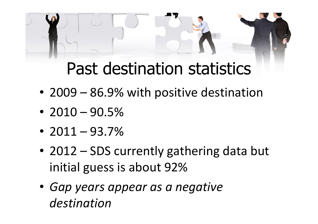## Past destination statistics

- 2009 86.9% with positive destination
- $2010 90.5\%$
- $2011 93.7\%$
- 2012 SDS currently gathering data but initial guess is about 92%
- Gap years appear as a negative destination